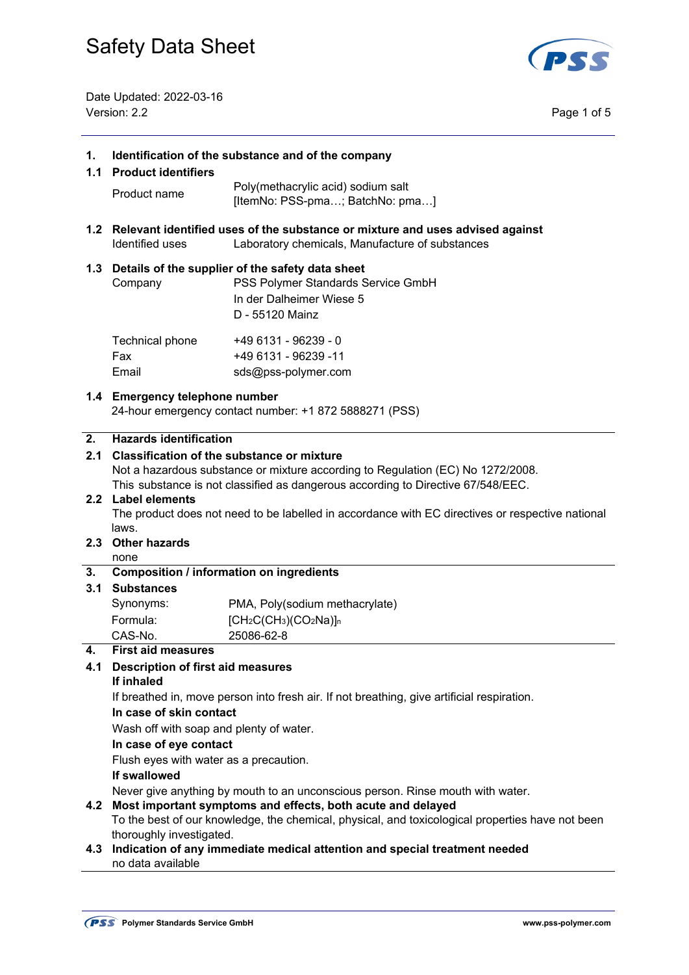

#### **1. Identification of the substance and of the company**

#### **1.1 Product identifiers**

- Product name Poly(methacrylic acid) sodium salt [ItemNo: PSS-pma...; BatchNo: pma...]
- **1.2 Relevant identified uses of the substance or mixture and uses advised against**  Identified uses Laboratory chemicals, Manufacture of substances

#### **1.3 Details of the supplier of the safety data sheet**

Email sds@pss-polymer.com

| Company         | PSS Polymer Standards Service GmbH |  |
|-----------------|------------------------------------|--|
|                 | In der Dalheimer Wiese 5           |  |
|                 | D - 55120 Mainz                    |  |
| Technical phone | +49 6131 - 96239 - 0               |  |
| Fax             | +49 6131 - 96239 -11               |  |

## **1.4 Emergency telephone number**

24-hour emergency contact number: +1 872 5888271 (PSS)

#### **2. Hazards identification**

## **2.1 Classification of the substance or mixture**  Not a hazardous substance or mixture according to Regulation (EC) No 1272/2008. This substance is not classified as dangerous according to Directive 67/548/EEC. **2.2 Label elements**  The product does not need to be labelled in accordance with EC directives or respective national laws. **2.3 Other hazards**  none **3. Composition / information on ingredients 3.1 Substances**  Synonyms: PMA, Poly(sodium methacrylate) Formula: [CH<sub>2</sub>C(CH<sub>3</sub>)(CO<sub>2</sub>Na)]<sub>n</sub> CAS-No. 25086-62-8 **4. First aid measures 4.1 Description of first aid measures If inhaled**  If breathed in, move person into fresh air. If not breathing, give artificial respiration.  **In case of skin contact** Wash off with soap and plenty of water. **In case of eye contact**  Flush eyes with water as a precaution. **If swallowed**  Never give anything by mouth to an unconscious person. Rinse mouth with water. **4.2 Most important symptoms and effects, both acute and delayed**  To the best of our knowledge, the chemical, physical, and toxicological properties have not been thoroughly investigated.

**4.3 Indication of any immediate medical attention and special treatment needed**  no data available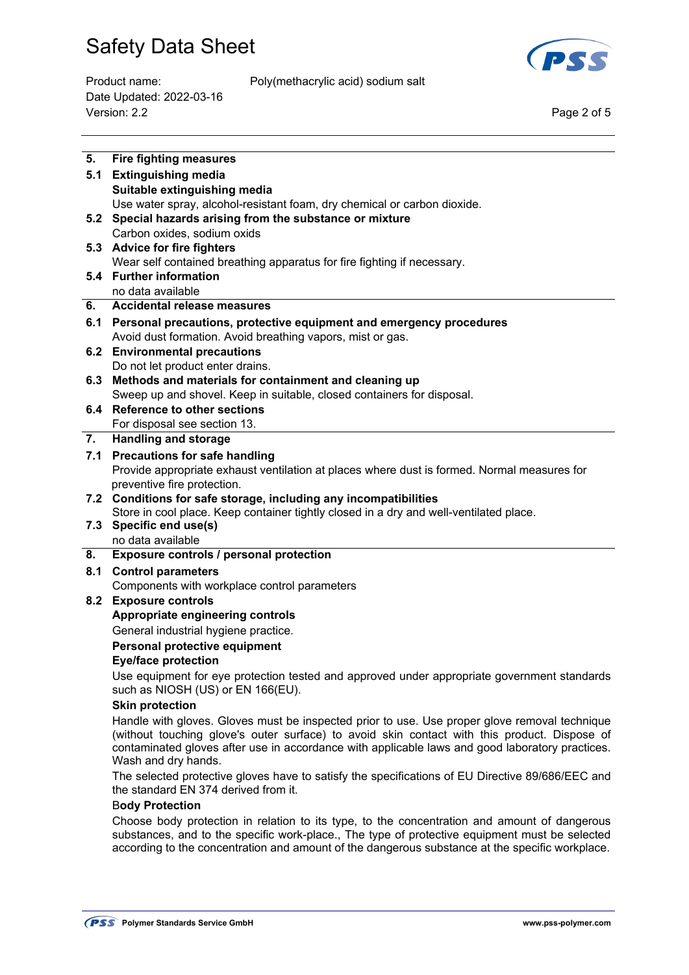

Date Updated: 2022-03-16 Version: 2.2 Page 2 of 5

Product name: Poly(methacrylic acid) sodium salt

| 5.  | <b>Fire fighting measures</b>                                                                                                                                                                                                                                                                                           |
|-----|-------------------------------------------------------------------------------------------------------------------------------------------------------------------------------------------------------------------------------------------------------------------------------------------------------------------------|
| 5.1 | <b>Extinguishing media</b>                                                                                                                                                                                                                                                                                              |
|     | Suitable extinguishing media                                                                                                                                                                                                                                                                                            |
|     | Use water spray, alcohol-resistant foam, dry chemical or carbon dioxide.                                                                                                                                                                                                                                                |
|     | 5.2 Special hazards arising from the substance or mixture                                                                                                                                                                                                                                                               |
|     | Carbon oxides, sodium oxids                                                                                                                                                                                                                                                                                             |
|     | 5.3 Advice for fire fighters                                                                                                                                                                                                                                                                                            |
|     | Wear self contained breathing apparatus for fire fighting if necessary.<br>5.4 Further information                                                                                                                                                                                                                      |
|     | no data available                                                                                                                                                                                                                                                                                                       |
| 6.  | Accidental release measures                                                                                                                                                                                                                                                                                             |
|     | 6.1 Personal precautions, protective equipment and emergency procedures                                                                                                                                                                                                                                                 |
|     | Avoid dust formation. Avoid breathing vapors, mist or gas.                                                                                                                                                                                                                                                              |
|     | 6.2 Environmental precautions                                                                                                                                                                                                                                                                                           |
|     | Do not let product enter drains.                                                                                                                                                                                                                                                                                        |
|     | 6.3 Methods and materials for containment and cleaning up                                                                                                                                                                                                                                                               |
|     | Sweep up and shovel. Keep in suitable, closed containers for disposal.                                                                                                                                                                                                                                                  |
|     | 6.4 Reference to other sections                                                                                                                                                                                                                                                                                         |
|     | For disposal see section 13.                                                                                                                                                                                                                                                                                            |
| 7.  | <b>Handling and storage</b>                                                                                                                                                                                                                                                                                             |
|     | 7.1 Precautions for safe handling                                                                                                                                                                                                                                                                                       |
|     | Provide appropriate exhaust ventilation at places where dust is formed. Normal measures for                                                                                                                                                                                                                             |
|     | preventive fire protection.                                                                                                                                                                                                                                                                                             |
|     | 7.2 Conditions for safe storage, including any incompatibilities                                                                                                                                                                                                                                                        |
|     | Store in cool place. Keep container tightly closed in a dry and well-ventilated place.                                                                                                                                                                                                                                  |
| 7.3 | Specific end use(s)<br>no data available                                                                                                                                                                                                                                                                                |
| 8.  | Exposure controls / personal protection                                                                                                                                                                                                                                                                                 |
| 8.1 | <b>Control parameters</b>                                                                                                                                                                                                                                                                                               |
|     |                                                                                                                                                                                                                                                                                                                         |
|     |                                                                                                                                                                                                                                                                                                                         |
|     | Components with workplace control parameters                                                                                                                                                                                                                                                                            |
|     | 8.2 Exposure controls                                                                                                                                                                                                                                                                                                   |
|     | Appropriate engineering controls                                                                                                                                                                                                                                                                                        |
|     | General industrial hygiene practice.<br>Personal protective equipment                                                                                                                                                                                                                                                   |
|     | <b>Eye/face protection</b>                                                                                                                                                                                                                                                                                              |
|     | Use equipment for eye protection tested and approved under appropriate government standards                                                                                                                                                                                                                             |
|     | such as NIOSH (US) or EN 166(EU).<br><b>Skin protection</b>                                                                                                                                                                                                                                                             |
|     |                                                                                                                                                                                                                                                                                                                         |
|     | Handle with gloves. Gloves must be inspected prior to use. Use proper glove removal technique<br>(without touching glove's outer surface) to avoid skin contact with this product. Dispose of<br>contaminated gloves after use in accordance with applicable laws and good laboratory practices.<br>Wash and dry hands. |
|     | The selected protective gloves have to satisfy the specifications of EU Directive 89/686/EEC and<br>the standard EN 374 derived from it.                                                                                                                                                                                |
|     | <b>Body Protection</b>                                                                                                                                                                                                                                                                                                  |

according to the concentration and amount of the dangerous substance at the specific workplace.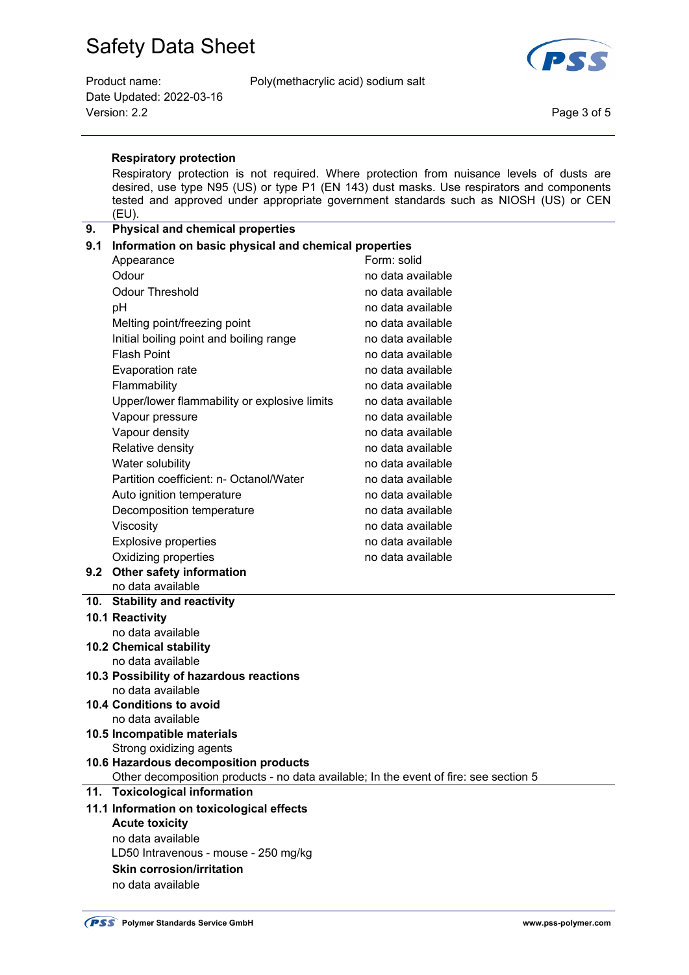Date Updated: 2022-03-16 Version: 2.2 Page 3 of 5

Product name: Poly(methacrylic acid) sodium salt



#### **Respiratory protection**

 Respiratory protection is not required. Where protection from nuisance levels of dusts are desired, use type N95 (US) or type P1 (EN 143) dust masks. Use respirators and components tested and approved under appropriate government standards such as NIOSH (US) or CEN (EU).

## **9. Physical and chemical properties 9.1 Information on basic physical and chemical properties**  Appearance Form: solid Odour contract to the contract of the contract of the contract of the contract of the contract of the contract of the contract of the contract of the contract of the contract of the contract of the contract of the contract Odour Threshold **no accompanying the Contract Contract Contract Contract Contract Contract Contract Contract Contract Contract Contract Contract Contract Contract Contract Contract Contract Contract Contract Contract Contr** pH no data available Melting point/freezing point no data available Initial boiling point and boiling range no data available Flash Point **No and American** available no data available Evaporation rate no metal available no data available Flammability **no data available** Upper/lower flammability or explosive limits no data available Vapour pressure no data available Vapour density no data available Relative density no data available Water solubility and the matter of the model of the model of the model of the model of the model of the model o Partition coefficient: n- Octanol/Water no data available Auto ignition temperature no data available Decomposition temperature no data available Viscosity **Nitricial Contract Contract Contract Contract Contract Contract Contract Contract Contract Contract Contract Contract Contract Contract Contract Contract Contract Contract Contract Contract Contract Contract Con** Explosive properties no data available Oxidizing properties no data available **9.2 Other safety information**  no data available **10. Stability and reactivity 10.1 Reactivity**  no data available **10.2 Chemical stability**  no data available

- **10.3 Possibility of hazardous reactions**  no data available
- **10.4 Conditions to avoid**  no data available
- **10.5 Incompatible materials** 
	- Strong oxidizing agents

## **10.6 Hazardous decomposition products**

Other decomposition products - no data available; In the event of fire: see section 5

#### **11. Toxicological information**

## **11.1 Information on toxicological effects Acute toxicity**  no data available LD50 Intravenous - mouse - 250 mg/kg  **Skin corrosion/irritation** no data available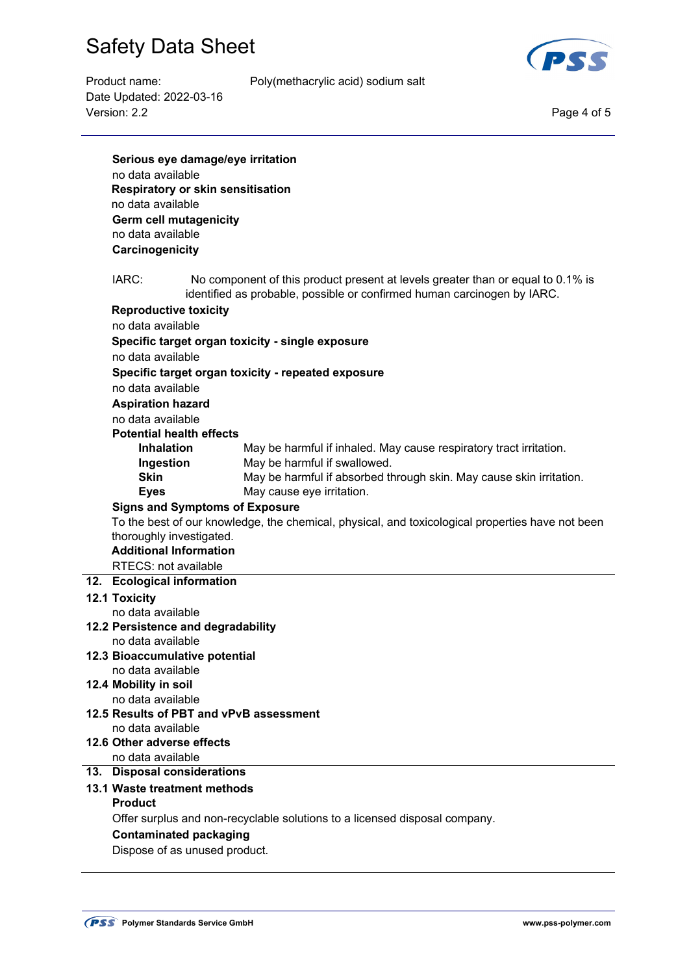

Date Updated: 2022-03-16 Version: 2.2 Page 4 of 5

Product name: Poly(methacrylic acid) sodium salt

| Serious eye damage/eye irritation     |  |                                                                                                                                                            |  |  |  |
|---------------------------------------|--|------------------------------------------------------------------------------------------------------------------------------------------------------------|--|--|--|
| no data available                     |  |                                                                                                                                                            |  |  |  |
| Respiratory or skin sensitisation     |  |                                                                                                                                                            |  |  |  |
| no data available                     |  |                                                                                                                                                            |  |  |  |
| <b>Germ cell mutagenicity</b>         |  |                                                                                                                                                            |  |  |  |
| no data available                     |  |                                                                                                                                                            |  |  |  |
| Carcinogenicity                       |  |                                                                                                                                                            |  |  |  |
|                                       |  |                                                                                                                                                            |  |  |  |
| IARC:                                 |  | No component of this product present at levels greater than or equal to 0.1% is<br>identified as probable, possible or confirmed human carcinogen by IARC. |  |  |  |
| <b>Reproductive toxicity</b>          |  |                                                                                                                                                            |  |  |  |
| no data available                     |  |                                                                                                                                                            |  |  |  |
|                                       |  | Specific target organ toxicity - single exposure                                                                                                           |  |  |  |
| no data available                     |  |                                                                                                                                                            |  |  |  |
|                                       |  | Specific target organ toxicity - repeated exposure                                                                                                         |  |  |  |
| no data available                     |  |                                                                                                                                                            |  |  |  |
| <b>Aspiration hazard</b>              |  |                                                                                                                                                            |  |  |  |
| no data available                     |  |                                                                                                                                                            |  |  |  |
| <b>Potential health effects</b>       |  |                                                                                                                                                            |  |  |  |
| <b>Inhalation</b>                     |  | May be harmful if inhaled. May cause respiratory tract irritation.                                                                                         |  |  |  |
| Ingestion                             |  | May be harmful if swallowed.                                                                                                                               |  |  |  |
| <b>Skin</b>                           |  | May be harmful if absorbed through skin. May cause skin irritation.                                                                                        |  |  |  |
| <b>Eyes</b>                           |  | May cause eye irritation.                                                                                                                                  |  |  |  |
| <b>Signs and Symptoms of Exposure</b> |  |                                                                                                                                                            |  |  |  |
|                                       |  | To the best of our knowledge, the chemical, physical, and toxicological properties have not been                                                           |  |  |  |
| thoroughly investigated.              |  |                                                                                                                                                            |  |  |  |
| <b>Additional Information</b>         |  |                                                                                                                                                            |  |  |  |
| RTECS: not available                  |  |                                                                                                                                                            |  |  |  |
| 12. Ecological information            |  |                                                                                                                                                            |  |  |  |
| 12.1 Toxicity                         |  |                                                                                                                                                            |  |  |  |
| no data available                     |  |                                                                                                                                                            |  |  |  |
| 12.2 Persistence and degradability    |  |                                                                                                                                                            |  |  |  |
| no data available                     |  |                                                                                                                                                            |  |  |  |
| 12.3 Bioaccumulative potential        |  |                                                                                                                                                            |  |  |  |
| no data available                     |  |                                                                                                                                                            |  |  |  |
| 12.4 Mobility in soil                 |  |                                                                                                                                                            |  |  |  |
| no data available                     |  |                                                                                                                                                            |  |  |  |
|                                       |  | 12.5 Results of PBT and vPvB assessment                                                                                                                    |  |  |  |
| no data available                     |  |                                                                                                                                                            |  |  |  |
| 12.6 Other adverse effects            |  |                                                                                                                                                            |  |  |  |
| no data available                     |  |                                                                                                                                                            |  |  |  |
| 13. Disposal considerations           |  |                                                                                                                                                            |  |  |  |
| 13.1 Waste treatment methods          |  |                                                                                                                                                            |  |  |  |
| <b>Product</b>                        |  |                                                                                                                                                            |  |  |  |
|                                       |  | Offer surplus and non-recyclable solutions to a licensed disposal company.                                                                                 |  |  |  |
| <b>Contaminated packaging</b>         |  |                                                                                                                                                            |  |  |  |
| Dispose of as unused product.         |  |                                                                                                                                                            |  |  |  |
|                                       |  |                                                                                                                                                            |  |  |  |
|                                       |  |                                                                                                                                                            |  |  |  |